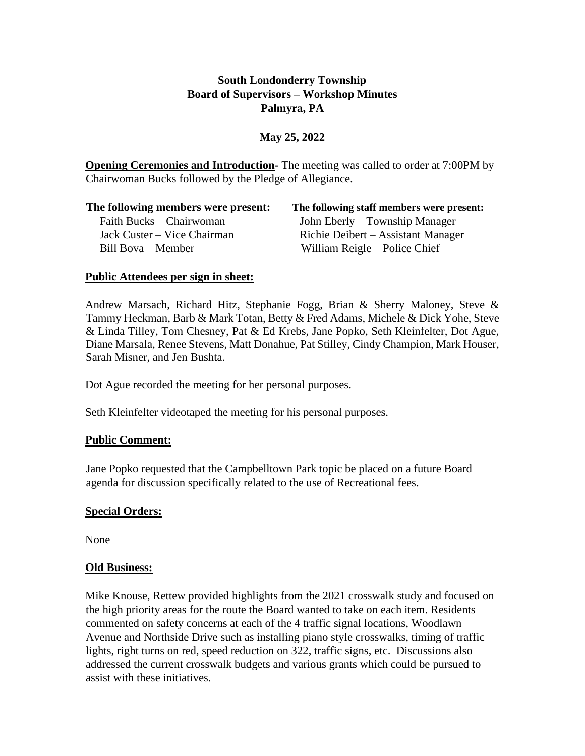# **South Londonderry Township Board of Supervisors – Workshop Minutes Palmyra, PA**

## **May 25, 2022**

**Opening Ceremonies and Introduction-** The meeting was called to order at 7:00PM by Chairwoman Bucks followed by the Pledge of Allegiance.

| The following members were present: | The following staff members were present: |
|-------------------------------------|-------------------------------------------|
| Faith Bucks – Chairwoman            | John Eberly – Township Manager            |
| Jack Custer – Vice Chairman         | Richie Deibert – Assistant Manager        |
| Bill Bova – Member                  | William Reigle – Police Chief             |

### **Public Attendees per sign in sheet:**

Andrew Marsach, Richard Hitz, Stephanie Fogg, Brian & Sherry Maloney, Steve  $\&$ Tammy Heckman, Barb & Mark Totan, Betty & Fred Adams, Michele & Dick Yohe, Steve & Linda Tilley, Tom Chesney, Pat & Ed Krebs, Jane Popko, Seth Kleinfelter, Dot Ague, Diane Marsala, Renee Stevens, Matt Donahue, Pat Stilley, Cindy Champion, Mark Houser, Sarah Misner, and Jen Bushta.

Dot Ague recorded the meeting for her personal purposes.

Seth Kleinfelter videotaped the meeting for his personal purposes.

### **Public Comment:**

Jane Popko requested that the Campbelltown Park topic be placed on a future Board agenda for discussion specifically related to the use of Recreational fees.

### **Special Orders:**

None

#### **Old Business:**

Mike Knouse, Rettew provided highlights from the 2021 crosswalk study and focused on the high priority areas for the route the Board wanted to take on each item. Residents commented on safety concerns at each of the 4 traffic signal locations, Woodlawn Avenue and Northside Drive such as installing piano style crosswalks, timing of traffic lights, right turns on red, speed reduction on 322, traffic signs, etc. Discussions also addressed the current crosswalk budgets and various grants which could be pursued to assist with these initiatives.